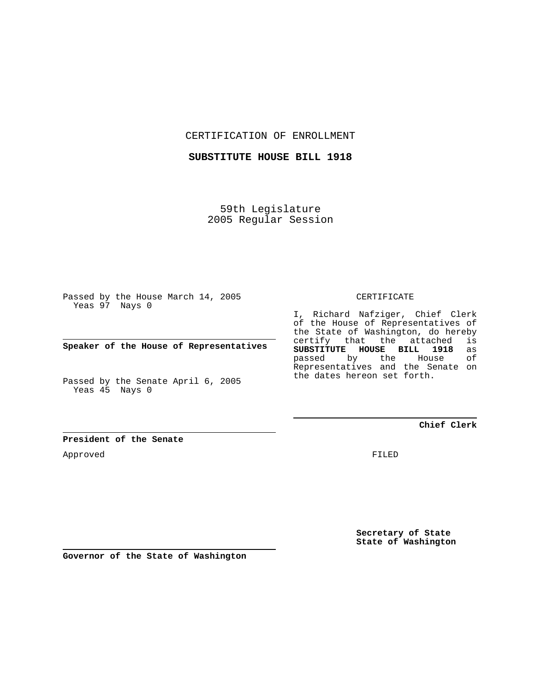CERTIFICATION OF ENROLLMENT

**SUBSTITUTE HOUSE BILL 1918**

59th Legislature 2005 Regular Session

Passed by the House March 14, 2005 Yeas 97 Nays 0

**Speaker of the House of Representatives**

Passed by the Senate April 6, 2005 Yeas 45 Nays 0

I, Richard Nafziger, Chief Clerk of the House of Representatives of the State of Washington, do hereby certify that the attached is **SUBSTITUTE HOUSE BILL 1918** as passed by the House Representatives and the Senate on the dates hereon set forth.

**Chief Clerk**

**President of the Senate**

Approved

FILED

**Secretary of State State of Washington**

**Governor of the State of Washington**

CERTIFICATE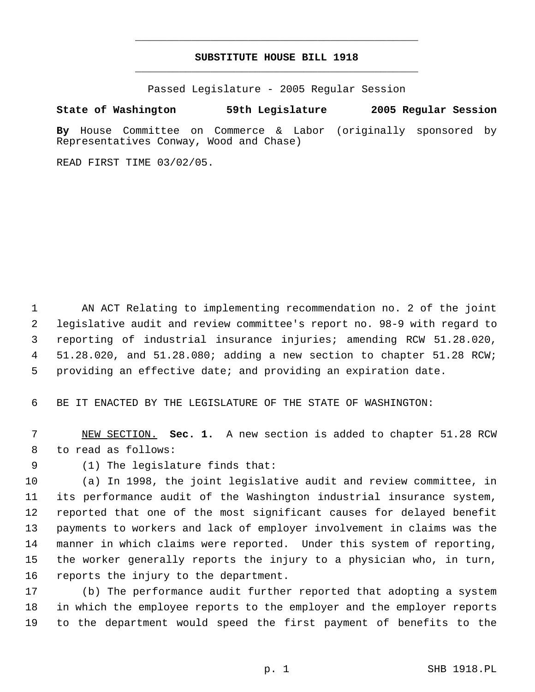## **SUBSTITUTE HOUSE BILL 1918** \_\_\_\_\_\_\_\_\_\_\_\_\_\_\_\_\_\_\_\_\_\_\_\_\_\_\_\_\_\_\_\_\_\_\_\_\_\_\_\_\_\_\_\_\_

\_\_\_\_\_\_\_\_\_\_\_\_\_\_\_\_\_\_\_\_\_\_\_\_\_\_\_\_\_\_\_\_\_\_\_\_\_\_\_\_\_\_\_\_\_

Passed Legislature - 2005 Regular Session

## **State of Washington 59th Legislature 2005 Regular Session**

**By** House Committee on Commerce & Labor (originally sponsored by Representatives Conway, Wood and Chase)

READ FIRST TIME 03/02/05.

 AN ACT Relating to implementing recommendation no. 2 of the joint legislative audit and review committee's report no. 98-9 with regard to reporting of industrial insurance injuries; amending RCW 51.28.020, 51.28.020, and 51.28.080; adding a new section to chapter 51.28 RCW; providing an effective date; and providing an expiration date.

BE IT ENACTED BY THE LEGISLATURE OF THE STATE OF WASHINGTON:

 NEW SECTION. **Sec. 1.** A new section is added to chapter 51.28 RCW to read as follows:

(1) The legislature finds that:

 (a) In 1998, the joint legislative audit and review committee, in its performance audit of the Washington industrial insurance system, reported that one of the most significant causes for delayed benefit payments to workers and lack of employer involvement in claims was the manner in which claims were reported. Under this system of reporting, the worker generally reports the injury to a physician who, in turn, reports the injury to the department.

 (b) The performance audit further reported that adopting a system in which the employee reports to the employer and the employer reports to the department would speed the first payment of benefits to the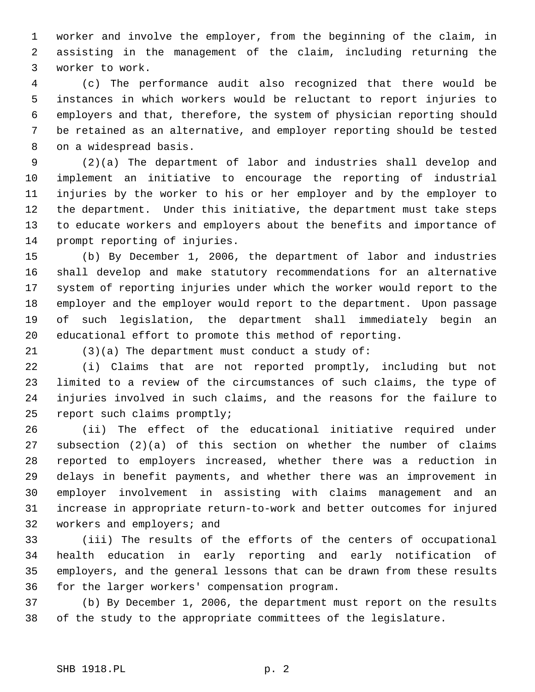worker and involve the employer, from the beginning of the claim, in assisting in the management of the claim, including returning the worker to work.

 (c) The performance audit also recognized that there would be instances in which workers would be reluctant to report injuries to employers and that, therefore, the system of physician reporting should be retained as an alternative, and employer reporting should be tested on a widespread basis.

 (2)(a) The department of labor and industries shall develop and implement an initiative to encourage the reporting of industrial injuries by the worker to his or her employer and by the employer to the department. Under this initiative, the department must take steps to educate workers and employers about the benefits and importance of prompt reporting of injuries.

 (b) By December 1, 2006, the department of labor and industries shall develop and make statutory recommendations for an alternative system of reporting injuries under which the worker would report to the employer and the employer would report to the department. Upon passage of such legislation, the department shall immediately begin an educational effort to promote this method of reporting.

(3)(a) The department must conduct a study of:

 (i) Claims that are not reported promptly, including but not limited to a review of the circumstances of such claims, the type of injuries involved in such claims, and the reasons for the failure to report such claims promptly;

 (ii) The effect of the educational initiative required under subsection (2)(a) of this section on whether the number of claims reported to employers increased, whether there was a reduction in delays in benefit payments, and whether there was an improvement in employer involvement in assisting with claims management and an increase in appropriate return-to-work and better outcomes for injured workers and employers; and

 (iii) The results of the efforts of the centers of occupational health education in early reporting and early notification of employers, and the general lessons that can be drawn from these results for the larger workers' compensation program.

 (b) By December 1, 2006, the department must report on the results of the study to the appropriate committees of the legislature.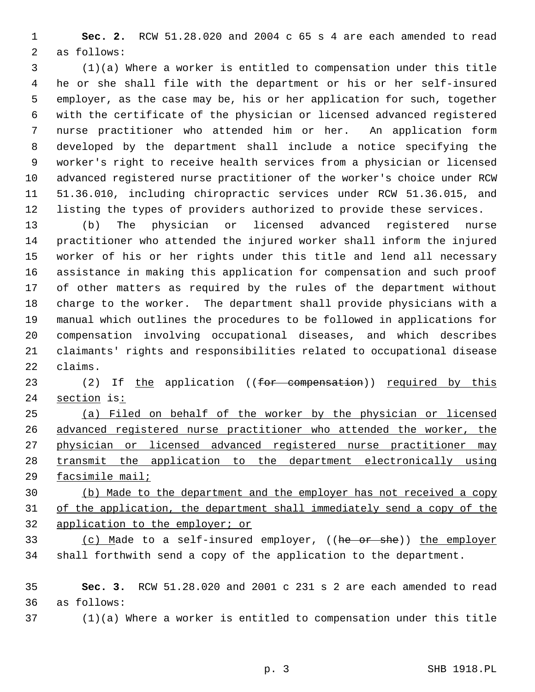**Sec. 2.** RCW 51.28.020 and 2004 c 65 s 4 are each amended to read as follows:

 (1)(a) Where a worker is entitled to compensation under this title he or she shall file with the department or his or her self-insured employer, as the case may be, his or her application for such, together with the certificate of the physician or licensed advanced registered nurse practitioner who attended him or her. An application form developed by the department shall include a notice specifying the worker's right to receive health services from a physician or licensed advanced registered nurse practitioner of the worker's choice under RCW 51.36.010, including chiropractic services under RCW 51.36.015, and listing the types of providers authorized to provide these services.

 (b) The physician or licensed advanced registered nurse practitioner who attended the injured worker shall inform the injured worker of his or her rights under this title and lend all necessary assistance in making this application for compensation and such proof of other matters as required by the rules of the department without charge to the worker. The department shall provide physicians with a manual which outlines the procedures to be followed in applications for compensation involving occupational diseases, and which describes claimants' rights and responsibilities related to occupational disease claims.

23 (2) If the application ((for compensation)) required by this 24 section is:

 (a) Filed on behalf of the worker by the physician or licensed advanced registered nurse practitioner who attended the worker, the physician or licensed advanced registered nurse practitioner may transmit the application to the department electronically using facsimile mail;

 (b) Made to the department and the employer has not received a copy of the application, the department shall immediately send a copy of the application to the employer; or

33 (c) Made to a self-insured employer, ((he or she)) the employer shall forthwith send a copy of the application to the department.

 **Sec. 3.** RCW 51.28.020 and 2001 c 231 s 2 are each amended to read as follows:

(1)(a) Where a worker is entitled to compensation under this title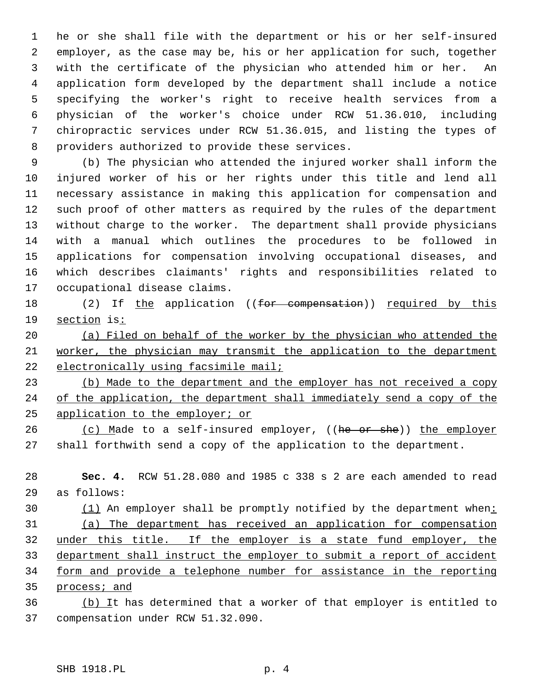he or she shall file with the department or his or her self-insured employer, as the case may be, his or her application for such, together with the certificate of the physician who attended him or her. An application form developed by the department shall include a notice specifying the worker's right to receive health services from a physician of the worker's choice under RCW 51.36.010, including chiropractic services under RCW 51.36.015, and listing the types of providers authorized to provide these services.

 (b) The physician who attended the injured worker shall inform the injured worker of his or her rights under this title and lend all necessary assistance in making this application for compensation and such proof of other matters as required by the rules of the department without charge to the worker. The department shall provide physicians with a manual which outlines the procedures to be followed in applications for compensation involving occupational diseases, and which describes claimants' rights and responsibilities related to occupational disease claims.

18 (2) If the application ((for compensation)) required by this section is:

 (a) Filed on behalf of the worker by the physician who attended the worker, the physician may transmit the application to the department 22 electronically using facsimile mail;

 (b) Made to the department and the employer has not received a copy 24 of the application, the department shall immediately send a copy of the application to the employer; or

26 (c) Made to a self-insured employer, ((he or she)) the employer shall forthwith send a copy of the application to the department.

 **Sec. 4.** RCW 51.28.080 and 1985 c 338 s 2 are each amended to read as follows:

30 (1) An employer shall be promptly notified by the department when: (a) The department has received an application for compensation under this title. If the employer is a state fund employer, the department shall instruct the employer to submit a report of accident form and provide a telephone number for assistance in the reporting process; and

36 (b) It has determined that a worker of that employer is entitled to compensation under RCW 51.32.090.